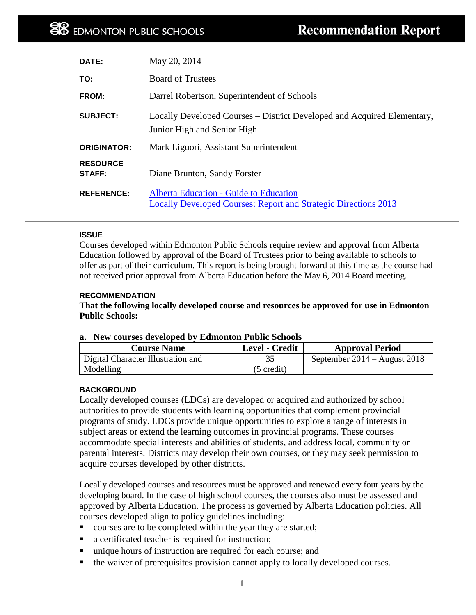| DATE:                     | May 20, 2014                                                                                                     |
|---------------------------|------------------------------------------------------------------------------------------------------------------|
| TO:                       | <b>Board of Trustees</b>                                                                                         |
| <b>FROM:</b>              | Darrel Robertson, Superintendent of Schools                                                                      |
| <b>SUBJECT:</b>           | Locally Developed Courses – District Developed and Acquired Elementary,<br>Junior High and Senior High           |
| <b>ORIGINATOR:</b>        | Mark Liguori, Assistant Superintendent                                                                           |
| <b>RESOURCE</b><br>STAFF: | Diane Brunton, Sandy Forster                                                                                     |
| <b>REFERENCE:</b>         | Alberta Education - Guide to Education<br><b>Locally Developed Courses: Report and Strategic Directions 2013</b> |

### **ISSUE**

Courses developed within Edmonton Public Schools require review and approval from Alberta Education followed by approval of the Board of Trustees prior to being available to schools to offer as part of their curriculum. This report is being brought forward at this time as the course had not received prior approval from Alberta Education before the May 6, 2014 Board meeting.

### **RECOMMENDATION**

**That the following locally developed course and resources be approved for use in Edmonton Public Schools:**

#### **a. New courses developed by Edmonton Public Schools**

| <b>Course Name</b>                 | Level - Credit       | <b>Approval Period</b>         |
|------------------------------------|----------------------|--------------------------------|
| Digital Character Illustration and |                      | September $2014 -$ August 2018 |
| Modelling                          | $(5 \text{ credit})$ |                                |

### **BACKGROUND**

Locally developed courses (LDCs) are developed or acquired and authorized by school authorities to provide students with learning opportunities that complement provincial programs of study. LDCs provide unique opportunities to explore a range of interests in subject areas or extend the learning outcomes in provincial programs. These courses accommodate special interests and abilities of students, and address local, community or parental interests. Districts may develop their own courses, or they may seek permission to acquire courses developed by other districts.

Locally developed courses and resources must be approved and renewed every four years by the developing board. In the case of high school courses, the courses also must be assessed and approved by Alberta Education. The process is governed by Alberta Education policies. All courses developed align to policy guidelines including:

- courses are to be completed within the year they are started;
- a certificated teacher is required for instruction;
- unique hours of instruction are required for each course; and
- the waiver of prerequisites provision cannot apply to locally developed courses.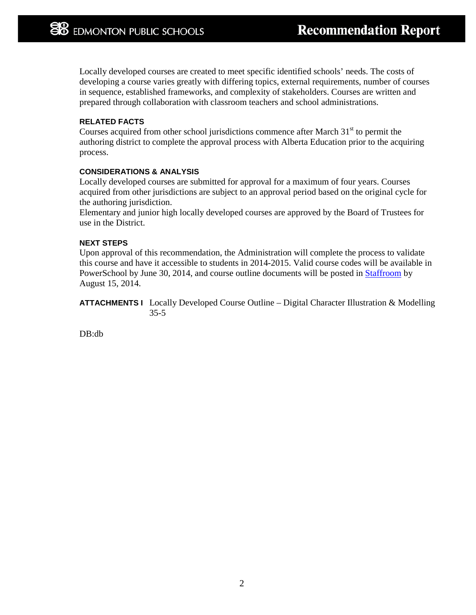Locally developed courses are created to meet specific identified schools' needs. The costs of developing a course varies greatly with differing topics, external requirements, number of courses in sequence, established frameworks, and complexity of stakeholders. Courses are written and prepared through collaboration with classroom teachers and school administrations.

### **RELATED FACTS**

Courses acquired from other school jurisdictions commence after March  $31<sup>st</sup>$  to permit the authoring district to complete the approval process with Alberta Education prior to the acquiring process.

### **CONSIDERATIONS & ANALYSIS**

Locally developed courses are submitted for approval for a maximum of four years. Courses acquired from other jurisdictions are subject to an approval period based on the original cycle for the authoring jurisdiction.

Elementary and junior high locally developed courses are approved by the Board of Trustees for use in the District.

### **NEXT STEPS**

Upon approval of this recommendation, the Administration will complete the process to validate this course and have it accessible to students in 2014-2015. Valid course codes will be available in PowerSchool by June 30, 2014, and course outline documents will be posted in [Staffroom](http://staffroom.epsb.ca/datafiles/Downloads_and_Resources/Publications/Projects_and_Research/RDK_2013_2014/Current%20district%20LDCs%20sem%20II%202014.pdf) by August 15, 2014.

**ATTACHMENTS I** Locally Developed Course Outline – Digital Character Illustration & Modelling 35-5

DB:db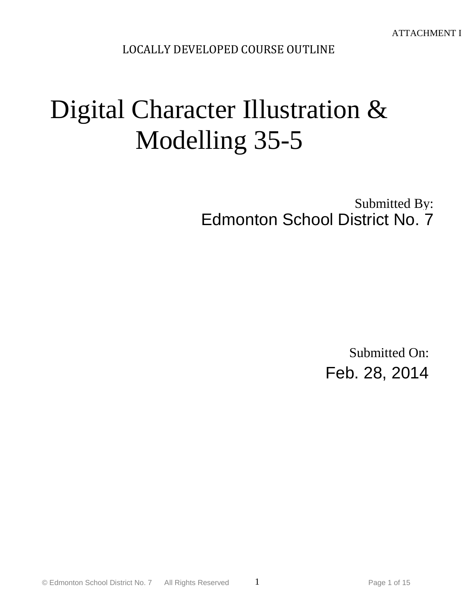LOCALLY DEVELOPED COURSE OUTLINE

# Digital Character Illustration & Modelling 35-5

Submitted By: Edmonton School District No. 7

> Submitted On: Feb. 28, 2014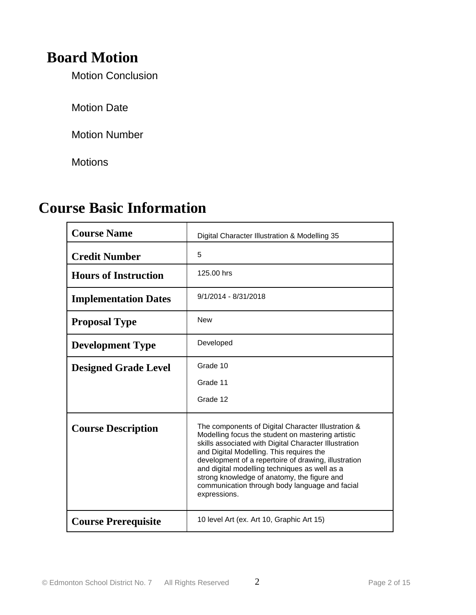# **Board Motion**

Motion Conclusion

Motion Date

Motion Number

**Motions** 

# **Course Basic Information**

| <b>Course Name</b>          | Digital Character Illustration & Modelling 35                                                                                                                                                                                                                                                                                                                                                                                          |
|-----------------------------|----------------------------------------------------------------------------------------------------------------------------------------------------------------------------------------------------------------------------------------------------------------------------------------------------------------------------------------------------------------------------------------------------------------------------------------|
| <b>Credit Number</b>        | 5                                                                                                                                                                                                                                                                                                                                                                                                                                      |
| <b>Hours of Instruction</b> | 125.00 hrs                                                                                                                                                                                                                                                                                                                                                                                                                             |
| <b>Implementation Dates</b> | $9/1/2014 - 8/31/2018$                                                                                                                                                                                                                                                                                                                                                                                                                 |
| <b>Proposal Type</b>        | <b>New</b>                                                                                                                                                                                                                                                                                                                                                                                                                             |
| <b>Development Type</b>     | Developed                                                                                                                                                                                                                                                                                                                                                                                                                              |
| <b>Designed Grade Level</b> | Grade 10<br>Grade 11                                                                                                                                                                                                                                                                                                                                                                                                                   |
|                             | Grade 12                                                                                                                                                                                                                                                                                                                                                                                                                               |
| <b>Course Description</b>   | The components of Digital Character Illustration &<br>Modelling focus the student on mastering artistic<br>skills associated with Digital Character Illustration<br>and Digital Modelling. This requires the<br>development of a repertoire of drawing, illustration<br>and digital modelling techniques as well as a<br>strong knowledge of anatomy, the figure and<br>communication through body language and facial<br>expressions. |
| <b>Course Prerequisite</b>  | 10 level Art (ex. Art 10, Graphic Art 15)                                                                                                                                                                                                                                                                                                                                                                                              |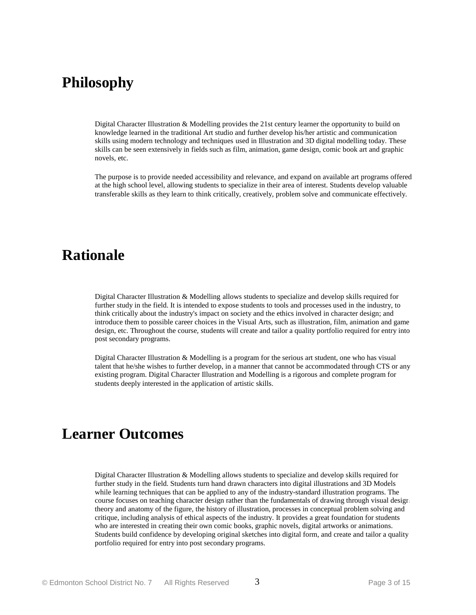## **Philosophy**

Digital Character Illustration & Modelling provides the 21st century learner the opportunity to build on knowledge learned in the traditional Art studio and further develop his/her artistic and communication skills using modern technology and techniques used in Illustration and 3D digital modelling today. These skills can be seen extensively in fields such as film, animation, game design, comic book art and graphic novels, etc.

The purpose is to provide needed accessibility and relevance, and expand on available art programs offered at the high school level, allowing students to specialize in their area of interest. Students develop valuable transferable skills as they learn to think critically, creatively, problem solve and communicate effectively.

### **Rationale**

Digital Character Illustration & Modelling allows students to specialize and develop skills required for further study in the field. It is intended to expose students to tools and processes used in the industry, to think critically about the industry's impact on society and the ethics involved in character design; and introduce them to possible career choices in the Visual Arts, such as illustration, film, animation and game design, etc. Throughout the course, students will create and tailor a quality portfolio required for entry into post secondary programs.

Digital Character Illustration & Modelling is a program for the serious art student, one who has visual talent that he/she wishes to further develop, in a manner that cannot be accommodated through CTS or any existing program. Digital Character Illustration and Modelling is a rigorous and complete program for students deeply interested in the application of artistic skills.

## **Learner Outcomes**

Digital Character Illustration & Modelling allows students to specialize and develop skills required for further study in the field. Students turn hand drawn characters into digital illustrations and 3D Models while learning techniques that can be applied to any of the industry-standard illustration programs. The course focuses on teaching character design rather than the fundamentals of drawing through visual design theory and anatomy of the figure, the history of illustration, processes in conceptual problem solving and critique, including analysis of ethical aspects of the industry. It provides a great foundation for students who are interested in creating their own comic books, graphic novels, digital artworks or animations. Students build confidence by developing original sketches into digital form, and create and tailor a quality portfolio required for entry into post secondary programs.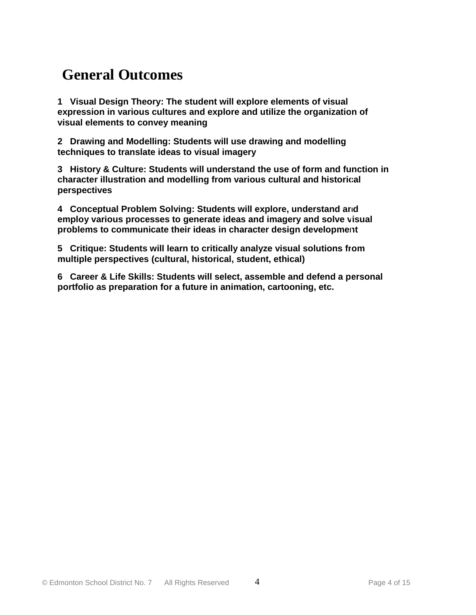# **General Outcomes**

**1 Visual Design Theory: The student will explore elements of visual expression in various cultures and explore and utilize the organization of visual elements to convey meaning**

**2 Drawing and Modelling: Students will use drawing and modelling techniques to translate ideas to visual imagery**

**3 History & Culture: Students will understand the use of form and function in character illustration and modelling from various cultural and historical perspectives**

**4 Conceptual Problem Solving: Students will explore, understand and employ various processes to generate ideas and imagery and solve visual problems to communicate their ideas in character design development**

**5 Critique: Students will learn to critically analyze visual solutions from multiple perspectives (cultural, historical, student, ethical)**

**6 Career & Life Skills: Students will select, assemble and defend a personal portfolio as preparation for a future in animation, cartooning, etc.**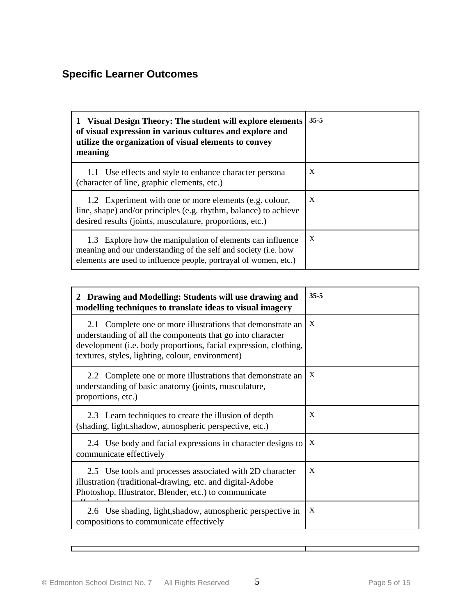### **Specific Learner Outcomes**

| 1 Visual Design Theory: The student will explore elements<br>of visual expression in various cultures and explore and<br>utilize the organization of visual elements to convey<br>meaning         | $35 - 5$ |
|---------------------------------------------------------------------------------------------------------------------------------------------------------------------------------------------------|----------|
| 1.1 Use effects and style to enhance character persona<br>(character of line, graphic elements, etc.)                                                                                             | X        |
| 1.2 Experiment with one or more elements (e.g. colour,<br>line, shape) and/or principles (e.g. rhythm, balance) to achieve<br>desired results (joints, musculature, proportions, etc.)            | X        |
| 1.3 Explore how the manipulation of elements can influence<br>meaning and our understanding of the self and society (i.e. how<br>elements are used to influence people, portrayal of women, etc.) | X        |

| Drawing and Modelling: Students will use drawing and<br>modelling techniques to translate ideas to visual imagery                                                                                                                                | $35 - 5$     |
|--------------------------------------------------------------------------------------------------------------------------------------------------------------------------------------------------------------------------------------------------|--------------|
| 2.1 Complete one or more illustrations that demonstrate an<br>understanding of all the components that go into character<br>development (i.e. body proportions, facial expression, clothing,<br>textures, styles, lighting, colour, environment) | $\mathbf{X}$ |
| 2.2 Complete one or more illustrations that demonstrate an<br>understanding of basic anatomy (joints, musculature,<br>proportions, etc.)                                                                                                         | X            |
| 2.3 Learn techniques to create the illusion of depth<br>(shading, light, shadow, atmospheric perspective, etc.)                                                                                                                                  | X            |
| 2.4 Use body and facial expressions in character designs to<br>communicate effectively                                                                                                                                                           | X            |
| 2.5 Use tools and processes associated with 2D character<br>illustration (traditional-drawing, etc. and digital-Adobe<br>Photoshop, Illustrator, Blender, etc.) to communicate                                                                   | X            |
| 2.6 Use shading, light, shadow, atmospheric perspective in<br>compositions to communicate effectively                                                                                                                                            | $\mathbf{x}$ |

Г

┑

┯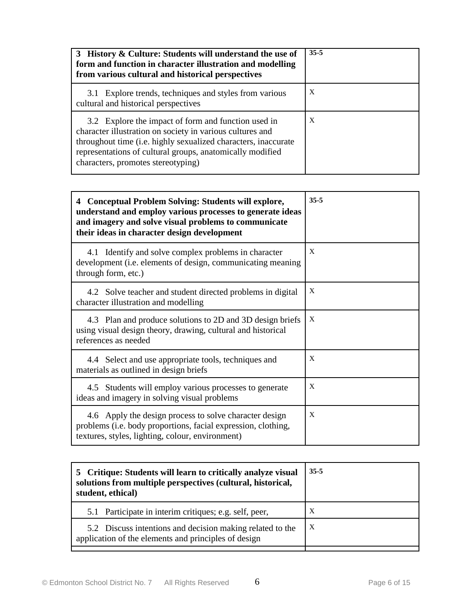| 3 History & Culture: Students will understand the use of<br>form and function in character illustration and modelling<br>from various cultural and historical perspectives                                                                                                            | $35 - 5$ |
|---------------------------------------------------------------------------------------------------------------------------------------------------------------------------------------------------------------------------------------------------------------------------------------|----------|
| 3.1 Explore trends, techniques and styles from various<br>cultural and historical perspectives                                                                                                                                                                                        | X        |
| 3.2 Explore the impact of form and function used in<br>character illustration on society in various cultures and<br>throughout time (i.e. highly sexualized characters, inaccurate<br>representations of cultural groups, anatomically modified<br>characters, promotes stereotyping) | X        |

| 4 Conceptual Problem Solving: Students will explore,<br>understand and employ various processes to generate ideas<br>and imagery and solve visual problems to communicate<br>their ideas in character design development | $35 - 5$ |
|--------------------------------------------------------------------------------------------------------------------------------------------------------------------------------------------------------------------------|----------|
| 4.1 Identify and solve complex problems in character<br>development (i.e. elements of design, communicating meaning<br>through form, etc.)                                                                               | X        |
| 4.2 Solve teacher and student directed problems in digital<br>character illustration and modelling                                                                                                                       | X        |
| 4.3 Plan and produce solutions to 2D and 3D design briefs<br>using visual design theory, drawing, cultural and historical<br>references as needed                                                                        | X        |
| 4.4 Select and use appropriate tools, techniques and<br>materials as outlined in design briefs                                                                                                                           | X        |
| 4.5 Students will employ various processes to generate<br>ideas and imagery in solving visual problems                                                                                                                   | X        |
| 4.6 Apply the design process to solve character design<br>problems (i.e. body proportions, facial expression, clothing,<br>textures, styles, lighting, colour, environment)                                              | X        |

| 5 Critique: Students will learn to critically analyze visual<br>solutions from multiple perspectives (cultural, historical,<br>student, ethical) | $35 - 5$ |
|--------------------------------------------------------------------------------------------------------------------------------------------------|----------|
| 5.1 Participate in interim critiques; e.g. self, peer,                                                                                           | X        |
| 5.2 Discuss intentions and decision making related to the<br>application of the elements and principles of design                                | X        |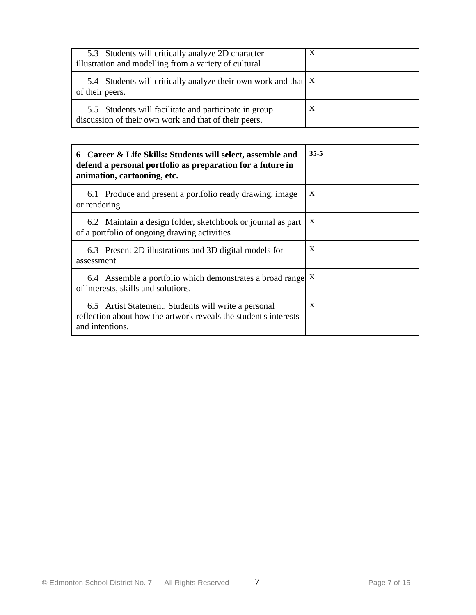| 5.3 Students will critically analyze 2D character<br>illustration and modelling from a variety of cultural     | X |
|----------------------------------------------------------------------------------------------------------------|---|
| 5.4 Students will critically analyze their own work and that   X<br>of their peers.                            |   |
| 5.5 Students will facilitate and participate in group<br>discussion of their own work and that of their peers. | X |

| 6 Career & Life Skills: Students will select, assemble and<br>defend a personal portfolio as preparation for a future in<br>animation, cartooning, etc. | $35 - 5$     |
|---------------------------------------------------------------------------------------------------------------------------------------------------------|--------------|
| 6.1 Produce and present a portfolio ready drawing, image<br>or rendering                                                                                | X            |
| 6.2 Maintain a design folder, sketchbook or journal as part<br>of a portfolio of ongoing drawing activities                                             | X            |
| 6.3 Present 2D illustrations and 3D digital models for<br>assessment                                                                                    | X            |
| 6.4 Assemble a portfolio which demonstrates a broad range X<br>of interests, skills and solutions.                                                      |              |
| 6.5 Artist Statement: Students will write a personal<br>reflection about how the artwork reveals the student's interests<br>and intentions.             | $\mathbf{x}$ |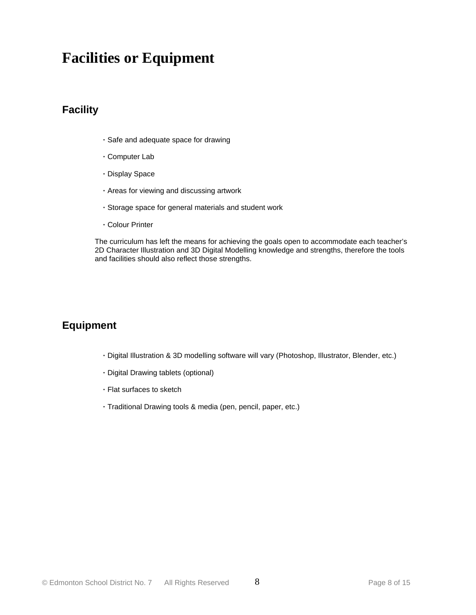# **Facilities or Equipment**

### **Facility**

- **·** Safe and adequate space for drawing
- **·** Computer Lab
- **·** Display Space
- **·** Areas for viewing and discussing artwork
- **·** Storage space for general materials and student work
- **·** Colour Printer

The curriculum has left the means for achieving the goals open to accommodate each teacher's 2D Character Illustration and 3D Digital Modelling knowledge and strengths, therefore the tools and facilities should also reflect those strengths.

### **Equipment**

- **·** Digital Illustration & 3D modelling software will vary (Photoshop, Illustrator, Blender, etc.)
- **·** Digital Drawing tablets (optional)
- **·** Flat surfaces to sketch
- **·** Traditional Drawing tools & media (pen, pencil, paper, etc.)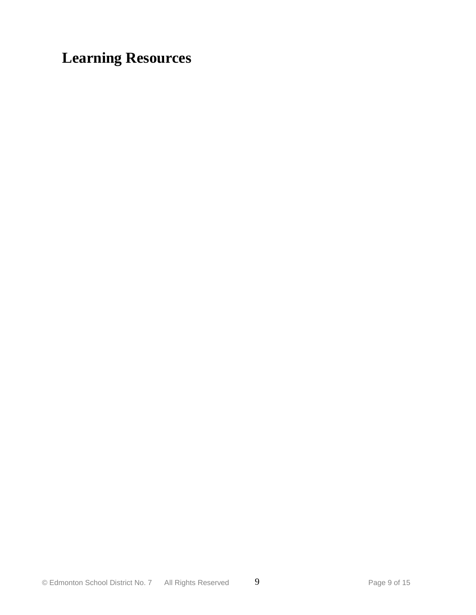# **Learning Resources**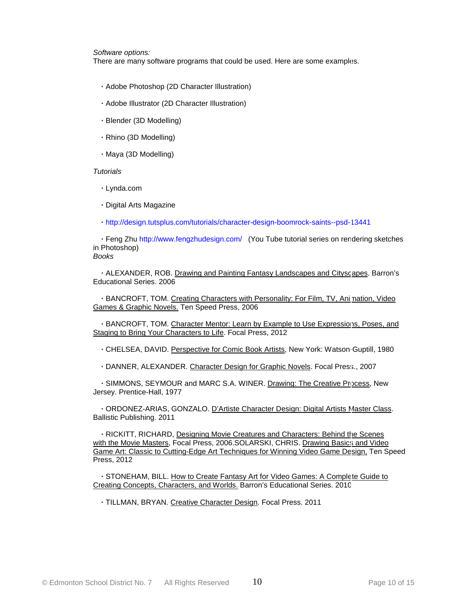*Software options:*

There are many software programs that could be used. Here are some examples.

- **·** Adobe Photoshop (2D Character Illustration)
- **·** Adobe Illustrator (2D Character Illustration)
- **·** Blender (3D Modelling)
- **·** Rhino (3D Modelling)
- **·** Maya (3D Modelling)

#### *Tutorials*

- **·** Lynda.com
- **·** Digital Arts Magazine
- **·** http://design.tutsplus.com/tutorials/character-design-boomrock-saints--psd-13441

 **·** Feng Zhu http://www.fengzhudesign.com/ (You Tube tutorial series on rendering sketches in Photoshop) *Books*

 **·** ALEXANDER, ROB. Drawing and Painting Fantasy Landscapes and Cityscapes. Barron's Educational Series. 2006

 **·** BANCROFT, TOM. Creating Characters with Personality: For Film, TV, Animation, Video Games & Graphic Novels. Ten Speed Press, 2006

 **·** BANCROFT, TOM. Character Mentor: Learn by Example to Use Expressions, Poses, and Staging to Bring Your Characters to Life. Focal Press, 2012

- **·** CHELSEA, DAVID. Perspective for Comic Book Artists, New York: Watson-Guptill, 1980
- **·** DANNER, ALEXANDER. Character Design for Graphic Novels. Focal Press., 2007

**·** SIMMONS, SEYMOUR and MARC S.A. WINER. Drawing: The Creative Process, New Jersey. Prentice-Hall, 1977

 **·** ORDONEZ-ARIAS, GONZALO. D'Artiste Character Design: Digital Artists Master Class. Ballistic Publishing. 2011

 **·** RICKITT, RICHARD, Designing Movie Creatures and Characters: Behind the Scenes with the Movie Masters, Focal Press, 2006.SOLARSKI, CHRIS. Drawing Basics and Video Game Art: Classic to Cutting-Edge Art Techniques for Winning Video Game Design, Ten Speed Press, 2012

 **·** STONEHAM, BILL. How to Create Fantasy Art for Video Games: A Complete Guide to Creating Concepts, Characters, and Worlds. Barron's Educational Series. 2010

**·** TILLMAN, BRYAN. Creative Character Design. Focal Press. 2011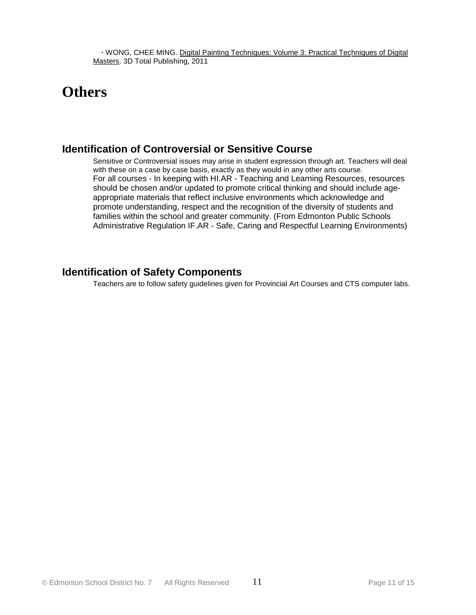# **Others**

### **Identification of Controversial or Sensitive Course**

Sensitive or Controversial issues may arise in student expression through art. Teachers will deal with these on a case by case basis, exactly as they would in any other arts course. For all courses - In keeping with HI.AR - Teaching and Learning Resources, resources should be chosen and/or updated to promote critical thinking and should include ageappropriate materials that reflect inclusive environments which acknowledge and promote understanding, respect and the recognition of the diversity of students and families within the school and greater community. (From Edmonton Public Schools Administrative Regulation IF.AR - Safe, Caring and Respectful Learning Environments)

### **Identification of Safety Components**

Teachers are to follow safety guidelines given for Provincial Art Courses and CTS computer labs.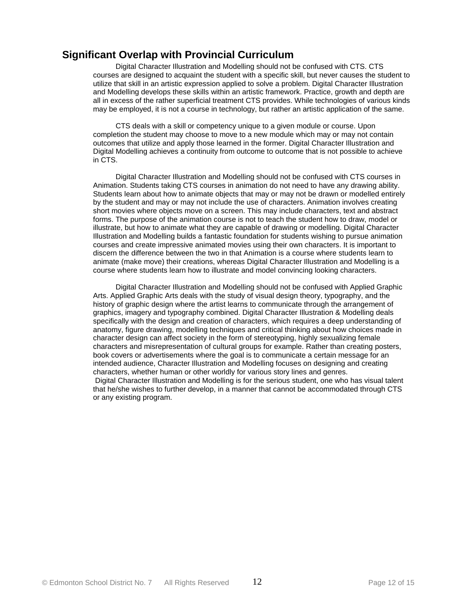### **Significant Overlap with Provincial Curriculum**

 Digital Character Illustration and Modelling should not be confused with CTS. CTS courses are designed to acquaint the student with a specific skill, but never causes the student to utilize that skill in an artistic expression applied to solve a problem. Digital Character Illustration and Modelling develops these skills within an artistic framework. Practice, growth and depth are all in excess of the rather superficial treatment CTS provides. While technologies of various kinds may be employed, it is not a course in technology, but rather an artistic application of the same.

 CTS deals with a skill or competency unique to a given module or course. Upon completion the student may choose to move to a new module which may or may not contain outcomes that utilize and apply those learned in the former. Digital Character Illustration and Digital Modelling achieves a continuity from outcome to outcome that is not possible to achieve in CTS.

 Digital Character Illustration and Modelling should not be confused with CTS courses in Animation. Students taking CTS courses in animation do not need to have any drawing ability. Students learn about how to animate objects that may or may not be drawn or modelled entirely by the student and may or may not include the use of characters. Animation involves creating short movies where objects move on a screen. This may include characters, text and abstract forms. The purpose of the animation course is not to teach the student how to draw, model or illustrate, but how to animate what they are capable of drawing or modelling. Digital Character Illustration and Modelling builds a fantastic foundation for students wishing to pursue animation courses and create impressive animated movies using their own characters. It is important to discern the difference between the two in that Animation is a course where students learn to animate (make move) their creations, whereas Digital Character Illustration and Modelling is a course where students learn how to illustrate and model convincing looking characters.

 Digital Character Illustration and Modelling should not be confused with Applied Graphic Arts. Applied Graphic Arts deals with the study of visual design theory, typography, and the history of graphic design where the artist learns to communicate through the arrangement of graphics, imagery and typography combined. Digital Character Illustration & Modelling deals specifically with the design and creation of characters, which requires a deep understanding of anatomy, figure drawing, modelling techniques and critical thinking about how choices made in character design can affect society in the form of stereotyping, highly sexualizing female characters and misrepresentation of cultural groups for example. Rather than creating posters, book covers or advertisements where the goal is to communicate a certain message for an intended audience, Character Illustration and Modelling focuses on designing and creating characters, whether human or other worldly for various story lines and genres. Digital Character Illustration and Modelling is for the serious student, one who has visual talent that he/she wishes to further develop, in a manner that cannot be accommodated through CTS or any existing program.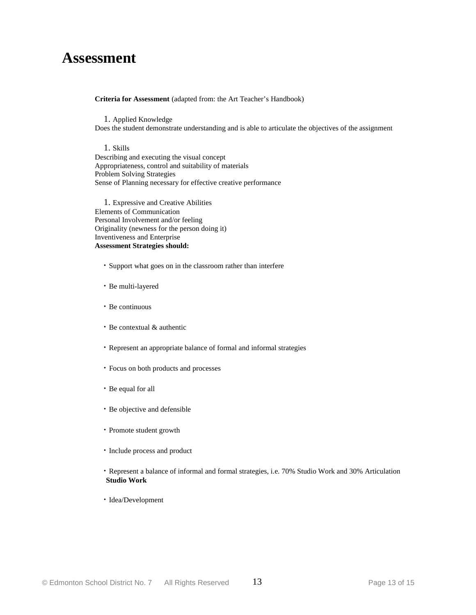### **Assessment**

#### **Criteria for Assessment** (adapted from: the Art Teacher's Handbook)

 1. Applied Knowledge Does the student demonstrate understanding and is able to articulate the objectives of the assignment

 1. Skills Describing and executing the visual concept Appropriateness, control and suitability of materials Problem Solving Strategies Sense of Planning necessary for effective creative performance

 1. Expressive and Creative Abilities Elements of Communication Personal Involvement and/or feeling Originality (newness for the person doing it) Inventiveness and Enterprise **Assessment Strategies should:**

- **·** Support what goes on in the classroom rather than interfere
- **·** Be multi-layered
- **·** Be continuous
- **·** Be contextual & authentic
- **·** Represent an appropriate balance of formal and informal strategies
- **·** Focus on both products and processes
- **·** Be equal for all
- **·** Be objective and defensible
- **·** Promote student growth
- **·** Include process and product
- **·** Represent a balance of informal and formal strategies, i.e. 70% Studio Work and 30% Articulation  **Studio Work**
- **·** Idea/Development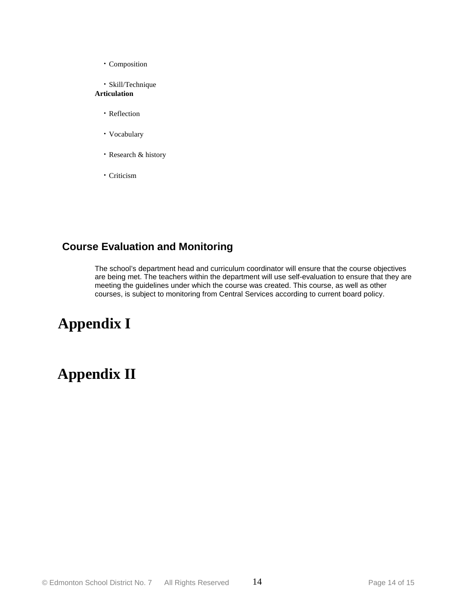- **·** Composition
- **·** Skill/Technique

### **Articulation**

- **·** Reflection
- **·** Vocabulary
- **·** Research & history
- **·** Criticism

### **Course Evaluation and Monitoring**

The school's department head and curriculum coordinator will ensure that the course objectives are being met. The teachers within the department will use self-evaluation to ensure that they are meeting the guidelines under which the course was created. This course, as well as other courses, is subject to monitoring from Central Services according to current board policy.

# **Appendix I**

# **Appendix II**